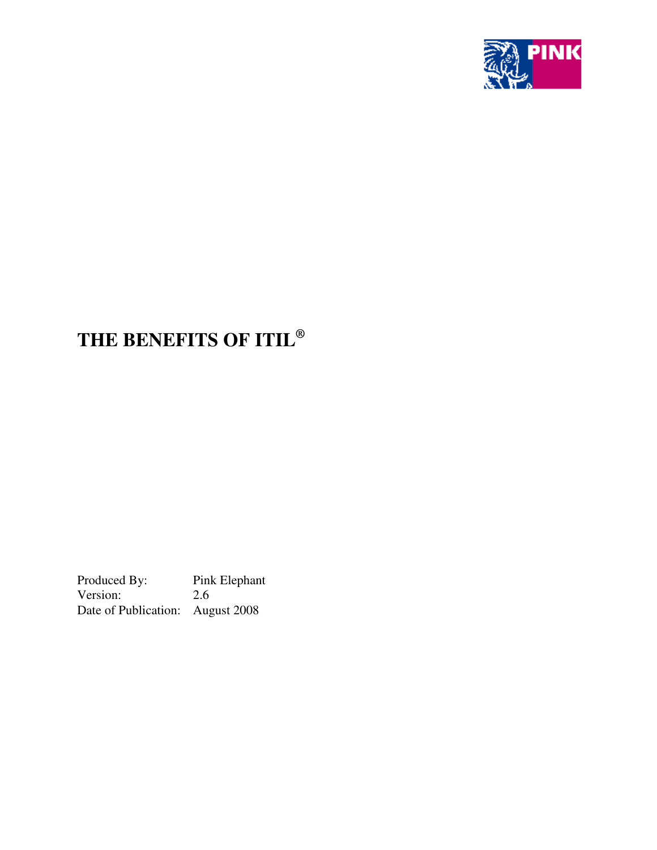

# **THE BENEFITS OF ITIL ®**

Produced By: Pink Elephant<br>Version: 2.6 Version: Date of Publication: August 2008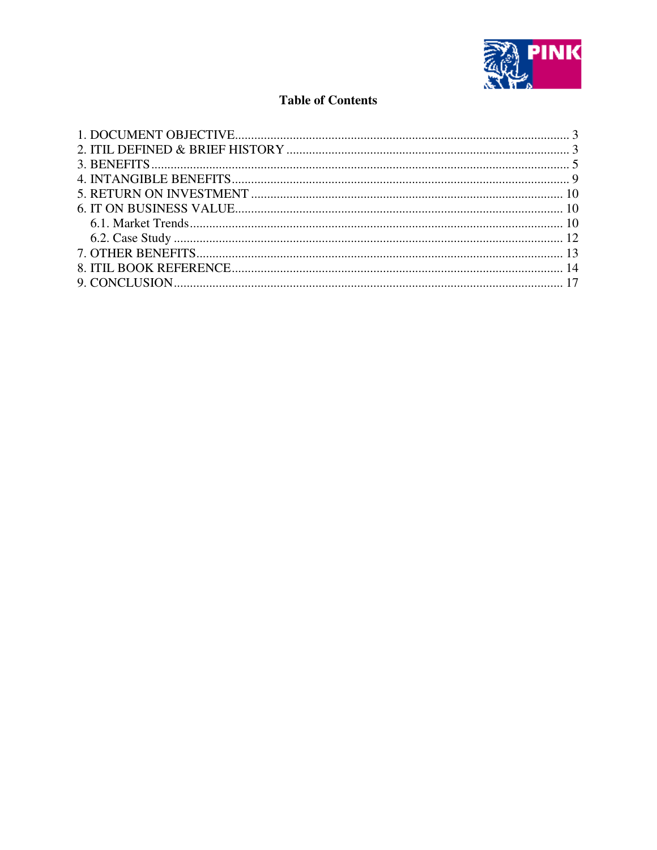

# **Table of Contents**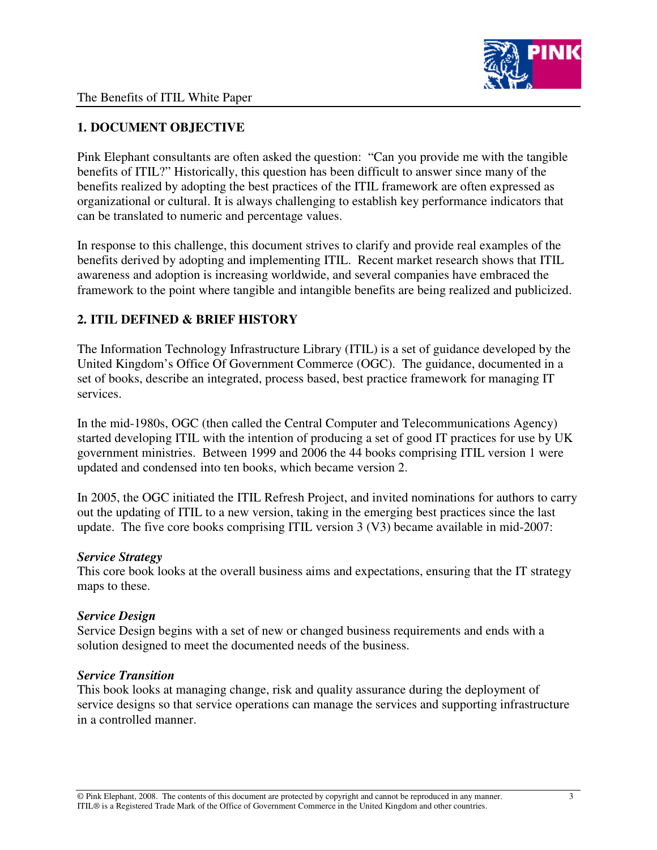

# **1. DOCUMENT OBJECTIVE**

Pink Elephant consultants are often asked the question: "Can you provide me with the tangible benefits of ITIL?" Historically, this question has been difficult to answer since many of the benefits realized by adopting the best practices of the ITIL framework are often expressed as organizational or cultural. It is always challenging to establish key performance indicators that can be translated to numeric and percentage values.

In response to this challenge, this document strives to clarify and provide real examples of the benefits derived by adopting and implementing ITIL. Recent market research shows that ITIL awareness and adoption is increasing worldwide, and several companies have embraced the framework to the point where tangible and intangible benefits are being realized and publicized.

# **2. ITIL DEFINED & BRIEF HISTORY**

The Information Technology Infrastructure Library (ITIL) is a set of guidance developed by the United Kingdom's Office Of Government Commerce (OGC). The guidance, documented in a set of books, describe an integrated, process based, best practice framework for managing IT services.

In the mid-1980s, OGC (then called the Central Computer and Telecommunications Agency) started developing ITIL with the intention of producing a set of good IT practices for use by UK government ministries. Between 1999 and 2006 the 44 books comprising ITIL version 1 were updated and condensed into ten books, which became version 2.

In 2005, the OGC initiated the ITIL Refresh Project, and invited nominations for authors to carry out the updating of ITIL to a new version, taking in the emerging best practices since the last update. The five core books comprising ITIL version 3 (V3) became available in mid-2007:

## *Service Strategy*

This core book looks at the overall business aims and expectations, ensuring that the IT strategy maps to these.

## *Service Design*

Service Design begins with a set of new or changed business requirements and ends with a solution designed to meet the documented needs of the business.

## *Service Transition*

This book looks at managing change, risk and quality assurance during the deployment of service designs so that service operations can manage the services and supporting infrastructure in a controlled manner.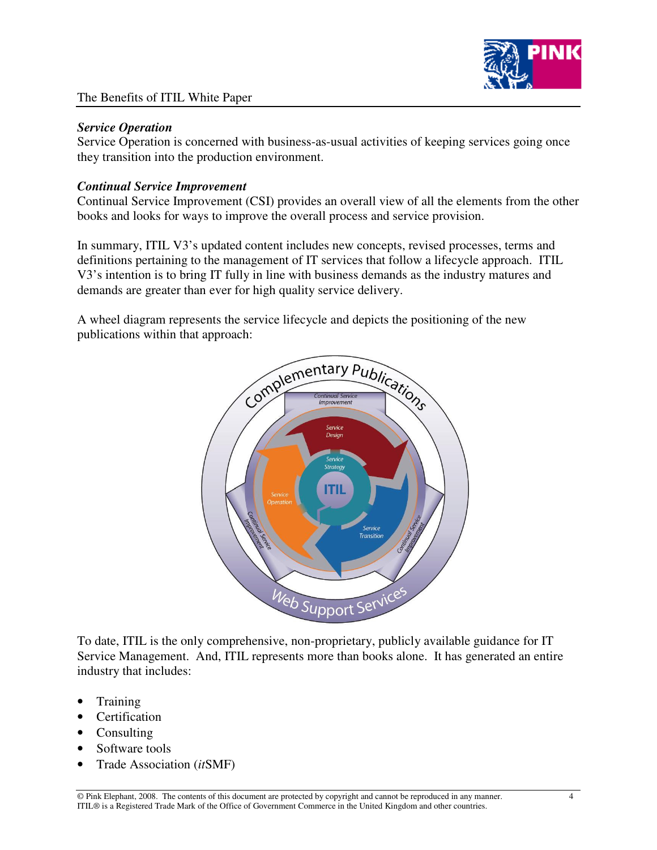

#### *Service Operation*

Service Operation is concerned with business-as-usual activities of keeping services going once they transition into the production environment.

## *Continual Service Improvement*

Continual Service Improvement (CSI) provides an overall view of all the elements from the other books and looks for ways to improve the overall process and service provision.

In summary, ITIL V3's updated content includes new concepts, revised processes, terms and definitions pertaining to the management of IT services that follow a lifecycle approach. ITIL V3's intention is to bring IT fully in line with business demands as the industry matures and demands are greater than ever for high quality service delivery.

A wheel diagram represents the service lifecycle and depicts the positioning of the new publications within that approach:



To date, ITIL is the only comprehensive, non-proprietary, publicly available guidance for IT Service Management. And, ITIL represents more than books alone. It has generated an entire industry that includes:

- Training
- Certification
- Consulting
- Software tools
- Trade Association (*it*SMF)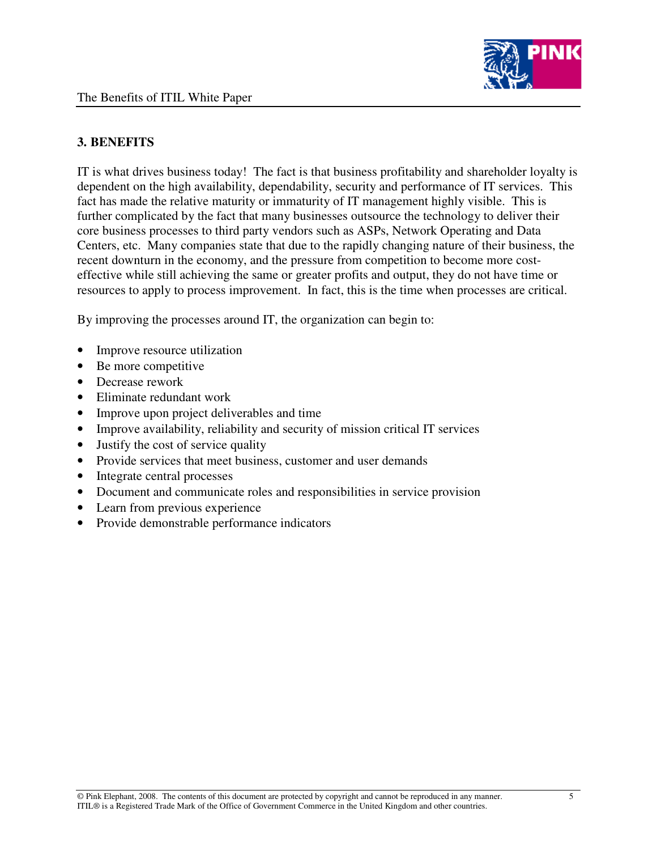

# **3. BENEFITS**

IT is what drives business today! The fact is that business profitability and shareholder loyalty is dependent on the high availability, dependability, security and performance of IT services. This fact has made the relative maturity or immaturity of IT management highly visible. This is further complicated by the fact that many businesses outsource the technology to deliver their core business processes to third party vendors such as ASPs, Network Operating and Data Centers, etc. Many companies state that due to the rapidly changing nature of their business, the recent downturn in the economy, and the pressure from competition to become more costeffective while still achieving the same or greater profits and output, they do not have time or resources to apply to process improvement. In fact, this is the time when processes are critical.

By improving the processes around IT, the organization can begin to:

- Improve resource utilization
- Be more competitive
- Decrease rework
- Eliminate redundant work
- Improve upon project deliverables and time
- Improve availability, reliability and security of mission critical IT services
- Justify the cost of service quality
- Provide services that meet business, customer and user demands
- Integrate central processes
- Document and communicate roles and responsibilities in service provision
- Learn from previous experience
- Provide demonstrable performance indicators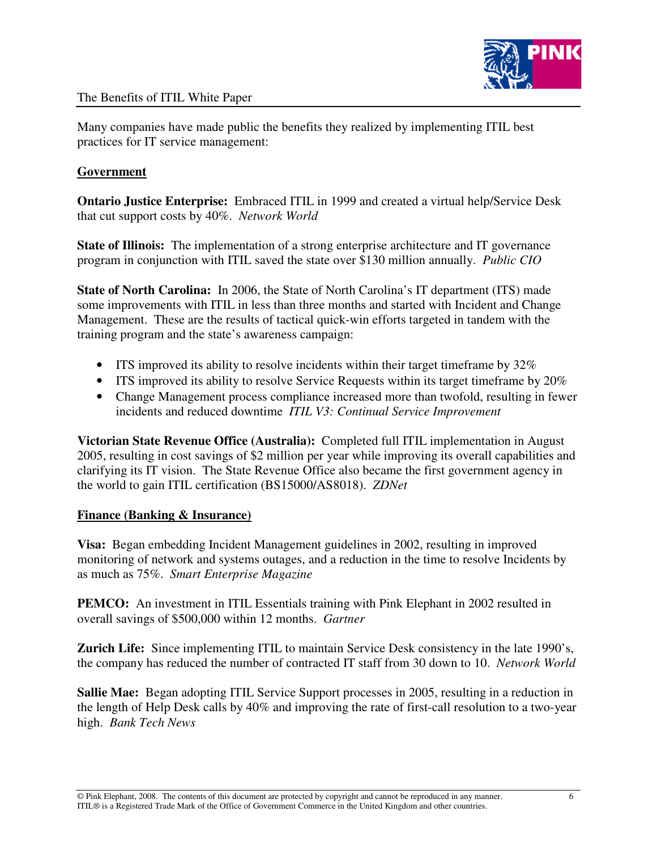

Many companies have made public the benefits they realized by implementing ITIL best practices for IT service management:

## **Government**

**Ontario Justice Enterprise:** Embraced ITIL in 1999 and created a virtual help/Service Desk that cut support costs by 40%. *Network World*

**State of Illinois:** The implementation of a strong enterprise architecture and IT governance program in conjunction with ITIL saved the state over \$130 million annually. *Public CIO*

**State of North Carolina:** In 2006, the State of North Carolina's IT department (ITS) made some improvements with ITIL in less than three months and started with Incident and Change Management. These are the results of tactical quick-win efforts targeted in tandem with the training program and the state's awareness campaign:

- ITS improved its ability to resolve incidents within their target timeframe by 32%
- ITS improved its ability to resolve Service Requests within its target time frame by 20%
- Change Management process compliance increased more than twofold, resulting in fewer incidents and reduced downtime *ITIL V3: Continual Service Improvement*

**Victorian State Revenue Office (Australia):** Completed full ITIL implementation in August 2005, resulting in cost savings of \$2 million per year while improving its overall capabilities and clarifying its IT vision. The State Revenue Office also became the first government agency in the world to gain ITIL certification (BS15000/AS8018). *ZDNet*

## **Finance (Banking & Insurance)**

**Visa:** Began embedding Incident Management guidelines in 2002, resulting in improved monitoring of network and systems outages, and a reduction in the time to resolve Incidents by as much as 75%. *Smart Enterprise Magazine*

**PEMCO:** An investment in ITIL Essentials training with Pink Elephant in 2002 resulted in overall savings of \$500,000 within 12 months. *Gartner*

**Zurich Life:** Since implementing ITIL to maintain Service Desk consistency in the late 1990's, the company has reduced the number of contracted IT staff from 30 down to 10. *Network World*

**Sallie Mae:** Began adopting ITIL Service Support processes in 2005, resulting in a reduction in the length of Help Desk calls by 40% and improving the rate of first-call resolution to a two-year high. *Bank Tech News*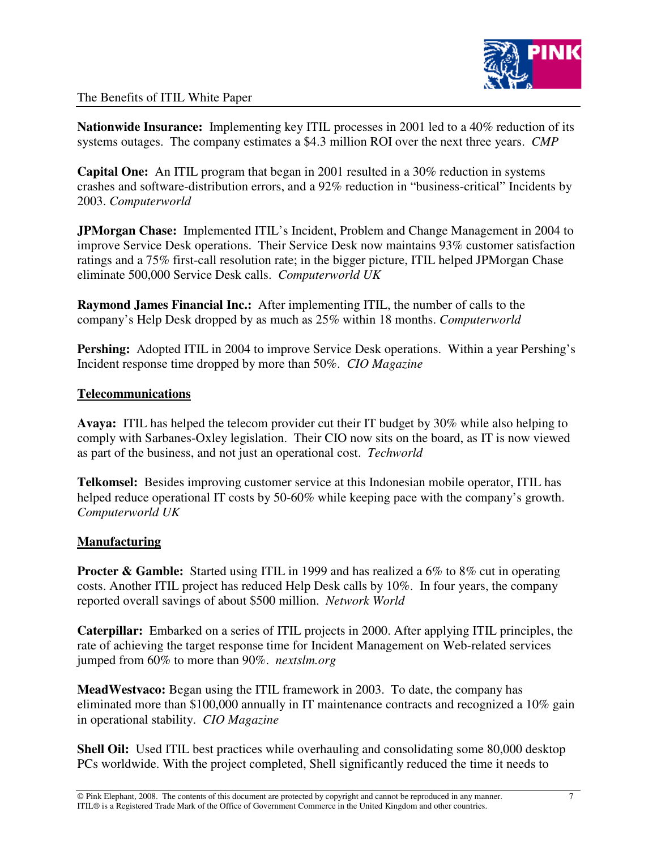

**Nationwide Insurance:** Implementing key ITIL processes in 2001 led to a 40% reduction of its systems outages. The company estimates a \$4.3 million ROI over the next three years. *CMP*

**Capital One:** An ITIL program that began in 2001 resulted in a 30% reduction in systems crashes and software-distribution errors, and a 92% reduction in "business-critical" Incidents by 2003. *Computerworld*

**JPMorgan Chase:** Implemented ITIL's Incident, Problem and Change Management in 2004 to improve Service Desk operations. Their Service Desk now maintains 93% customer satisfaction ratings and a 75% first-call resolution rate; in the bigger picture, ITIL helped JPMorgan Chase eliminate 500,000 Service Desk calls. *Computerworld UK*

**Raymond James Financial Inc.:** After implementing ITIL, the number of calls to the company's Help Desk dropped by as much as 25% within 18 months. *Computerworld*

**Pershing:** Adopted ITIL in 2004 to improve Service Desk operations. Within a year Pershing's Incident response time dropped by more than 50%. *CIO Magazine*

#### **Telecommunications**

**Avaya:** ITIL has helped the telecom provider cut their IT budget by 30% while also helping to comply with Sarbanes-Oxley legislation. Their CIO now sits on the board, as IT is now viewed as part of the business, and not just an operational cost. *Techworld*

**Telkomsel:** Besides improving customer service at this Indonesian mobile operator, ITIL has helped reduce operational IT costs by 50-60% while keeping pace with the company's growth. *Computerworld UK*

## **Manufacturing**

**Procter & Gamble:** Started using ITIL in 1999 and has realized a 6% to 8% cut in operating costs. Another ITIL project has reduced Help Desk calls by 10%. In four years, the company reported overall savings of about \$500 million. *Network World*

**Caterpillar:** Embarked on a series of ITIL projects in 2000. After applying ITIL principles, the rate of achieving the target response time for Incident Management on Web-related services jumped from 60% to more than 90%. *nextslm.org*

**MeadWestvaco:** Began using the ITIL framework in 2003. To date, the company has eliminated more than \$100,000 annually in IT maintenance contracts and recognized a 10% gain in operational stability. *CIO Magazine*

**Shell Oil:** Used ITIL best practices while overhauling and consolidating some 80,000 desktop PCs worldwide. With the project completed, Shell significantly reduced the time it needs to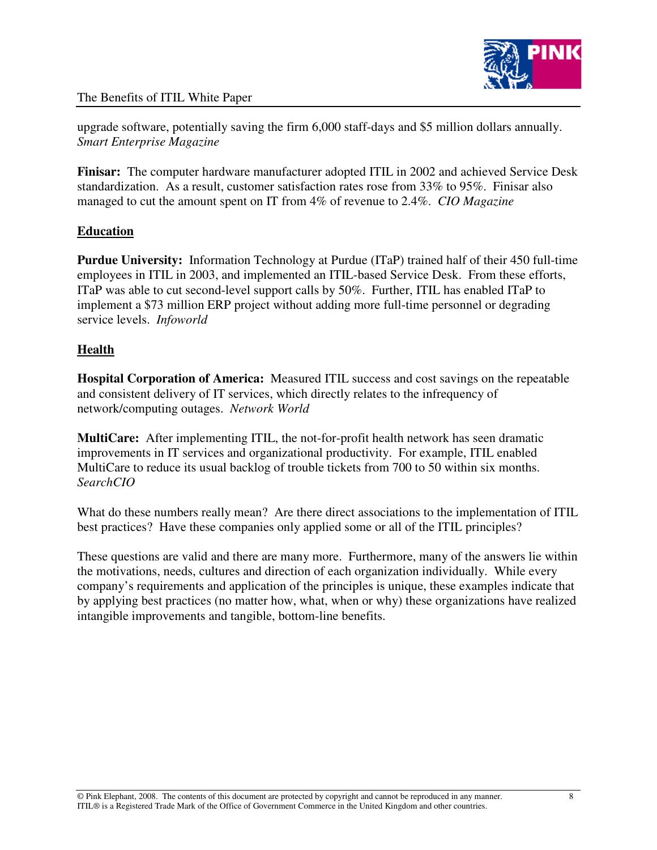

upgrade software, potentially saving the firm 6,000 staff-days and \$5 million dollars annually. *Smart Enterprise Magazine*

**Finisar:** The computer hardware manufacturer adopted ITIL in 2002 and achieved Service Desk standardization. As a result, customer satisfaction rates rose from 33% to 95%. Finisar also managed to cut the amount spent on IT from 4% of revenue to 2.4%. *CIO Magazine*

# **Education**

**Purdue University:** Information Technology at Purdue (ITaP) trained half of their 450 full-time employees in ITIL in 2003, and implemented an ITIL-based Service Desk. From these efforts, ITaP was able to cut second-level support calls by 50%. Further, ITIL has enabled ITaP to implement a \$73 million ERP project without adding more full-time personnel or degrading service levels. *Infoworld*

# **Health**

**Hospital Corporation of America:** Measured ITIL success and cost savings on the repeatable and consistent delivery of IT services, which directly relates to the infrequency of network/computing outages. *Network World*

**MultiCare:** After implementing ITIL, the not-for-profit health network has seen dramatic improvements in IT services and organizational productivity. For example, ITIL enabled MultiCare to reduce its usual backlog of trouble tickets from 700 to 50 within six months. *SearchCIO*

What do these numbers really mean? Are there direct associations to the implementation of ITIL best practices? Have these companies only applied some or all of the ITIL principles?

These questions are valid and there are many more. Furthermore, many of the answers lie within the motivations, needs, cultures and direction of each organization individually. While every company's requirements and application of the principles is unique, these examples indicate that by applying best practices (no matter how, what, when or why) these organizations have realized intangible improvements and tangible, bottom-line benefits.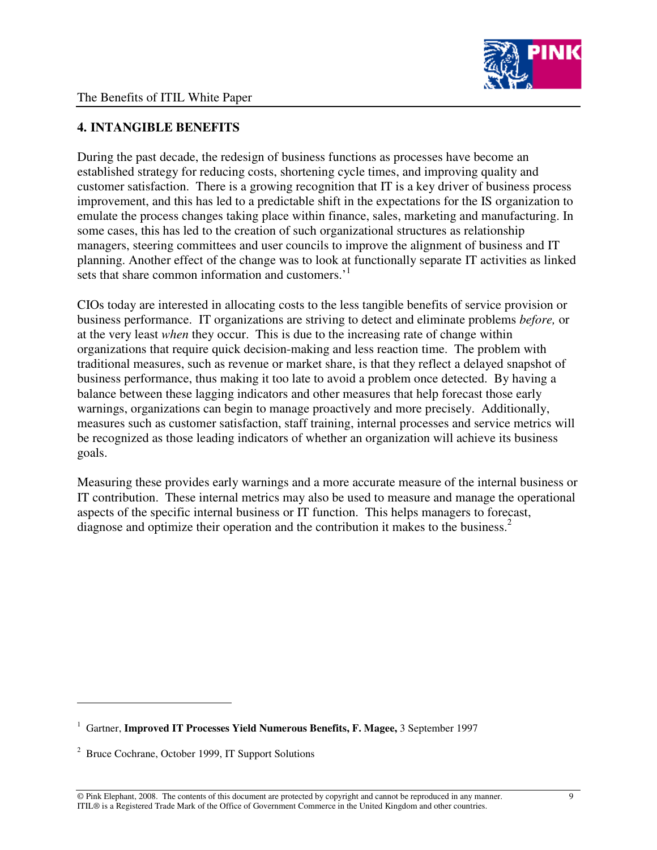

# **4. INTANGIBLE BENEFITS**

During the past decade, the redesign of business functions as processes have become an established strategy for reducing costs, shortening cycle times, and improving quality and customer satisfaction. There is a growing recognition that IT is a key driver of business process improvement, and this has led to a predictable shift in the expectations for the IS organization to emulate the process changes taking place within finance, sales, marketing and manufacturing. In some cases, this has led to the creation of such organizational structures as relationship managers, steering committees and user councils to improve the alignment of business and IT planning. Another effect of the change was to look at functionally separate IT activities as linked sets that share common information and customers.<sup>1</sup>

CIOs today are interested in allocating costs to the less tangible benefits of service provision or business performance. IT organizations are striving to detect and eliminate problems *before,* or at the very least *when* they occur. This is due to the increasing rate of change within organizations that require quick decision-making and less reaction time. The problem with traditional measures, such as revenue or market share, is that they reflect a delayed snapshot of business performance, thus making it too late to avoid a problem once detected. By having a balance between these lagging indicators and other measures that help forecast those early warnings, organizations can begin to manage proactively and more precisely. Additionally, measures such as customer satisfaction, staff training, internal processes and service metrics will be recognized as those leading indicators of whether an organization will achieve its business goals.

Measuring these provides early warnings and a more accurate measure of the internal business or IT contribution. These internal metrics may also be used to measure and manage the operational aspects of the specific internal business or IT function. This helps managers to forecast, diagnose and optimize their operation and the contribution it makes to the business. 2

<sup>1</sup> Gartner, **Improved IT Processes Yield Numerous Benefits, F. Magee,** 3 September 1997

<sup>2</sup> Bruce Cochrane, October 1999, IT Support Solutions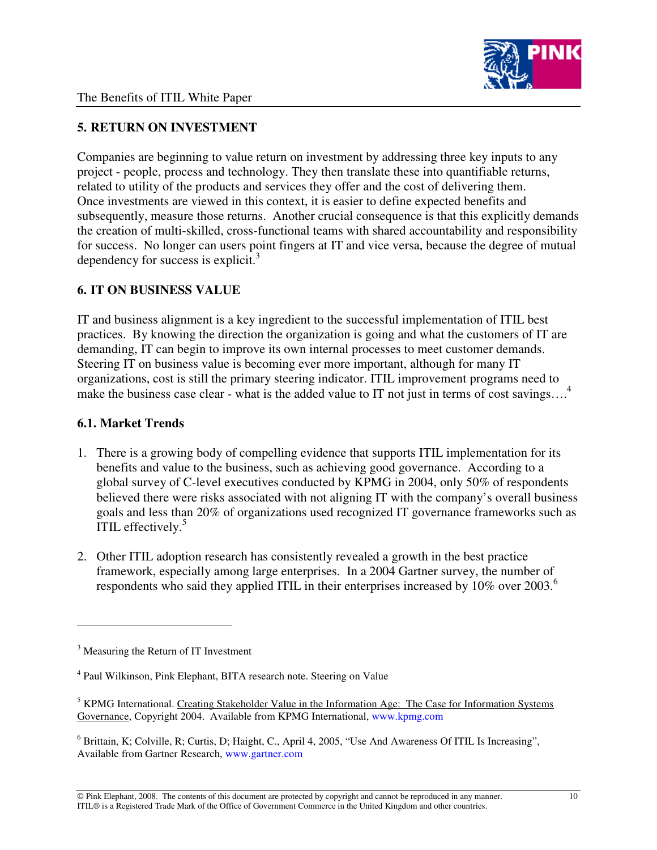

# **5. RETURN ON INVESTMENT**

Companies are beginning to value return on investment by addressing three key inputs to any project - people, process and technology. They then translate these into quantifiable returns, related to utility of the products and services they offer and the cost of delivering them. Once investments are viewed in this context, it is easier to define expected benefits and subsequently, measure those returns. Another crucial consequence is that this explicitly demands the creation of multi-skilled, cross-functional teams with shared accountability and responsibility for success. No longer can users point fingers at IT and vice versa, because the degree of mutual dependency for success is explicit.<sup>3</sup>

# **6. IT ON BUSINESS VALUE**

IT and business alignment is a key ingredient to the successful implementation of ITIL best practices. By knowing the direction the organization is going and what the customers of IT are demanding, IT can begin to improve its own internal processes to meet customer demands. Steering IT on business value is becoming ever more important, although for many IT organizations, cost is still the primary steering indicator. ITIL improvement programs need to make the business case clear - what is the added value to IT not just in terms of cost savings....<sup>4</sup>

# **6.1. Market Trends**

- 1. There is a growing body of compelling evidence that supports ITIL implementation for its benefits and value to the business, such as achieving good governance. According to a global survey of C-level executives conducted by KPMG in 2004, only 50% of respondents believed there were risks associated with not aligning IT with the company's overall business goals and less than 20% of organizations used recognized IT governance frameworks such as ITIL effectively.<sup>5</sup>
- 2. Other ITIL adoption research has consistently revealed a growth in the best practice framework, especially among large enterprises. In a 2004 Gartner survey, the number of respondents who said they applied ITIL in their enterprises increased by 10% over 2003. 6

<sup>&</sup>lt;sup>3</sup> Measuring the Return of IT Investment

<sup>&</sup>lt;sup>4</sup> Paul Wilkinson, Pink Elephant, BITA research note. Steering on Value

<sup>&</sup>lt;sup>5</sup> KPMG International. Creating Stakeholder Value in the Information Age: The Case for Information Systems Governance, Copyright 2004. Available from KPMG International, www.kpmg.com

 $6$  Brittain, K; Colville, R; Curtis, D; Haight, C., April 4, 2005, "Use And Awareness Of ITIL Is Increasing", Available from Gartner Research, www.gartner.com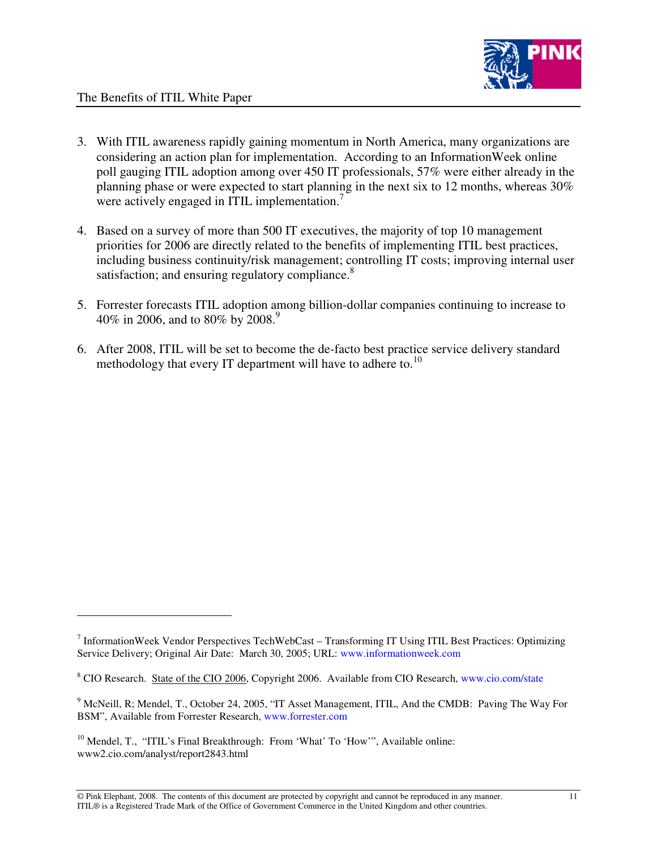- 3. With ITIL awareness rapidly gaining momentum in North America, many organizations are considering an action plan for implementation. According to an InformationWeek online poll gauging ITIL adoption among over 450 IT professionals, 57% were either already in the planning phase or were expected to start planning in the next six to 12 months, whereas 30% were actively engaged in ITIL implementation.<sup>7</sup>
- 4. Based on a survey of more than 500 IT executives, the majority of top 10 management priorities for 2006 are directly related to the benefits of implementing ITIL best practices, including business continuity/risk management; controlling IT costs; improving internal user satisfaction; and ensuring regulatory compliance.<sup>8</sup>
- 5. Forrester forecasts ITIL adoption among billion-dollar companies continuing to increase to 40% in 2006, and to 80% by 2008. 9
- 6. After 2008, ITIL will be set to become the de-facto best practice service delivery standard methodology that every IT department will have to adhere to.<sup>10</sup>

<sup>&</sup>lt;sup>7</sup> InformationWeek Vendor Perspectives TechWebCast - Transforming IT Using ITIL Best Practices: Optimizing Service Delivery; Original Air Date: March 30, 2005; URL: www.informationweek.com

<sup>&</sup>lt;sup>8</sup> CIO Research. State of the CIO 2006, Copyright 2006. Available from CIO Research, www.cio.com/state

<sup>9</sup> McNeill, R; Mendel, T., October 24, 2005, "IT Asset Management, ITIL, And the CMDB: Paving The Way For BSM", Available from Forrester Research, www.forrester.com

 $10$  Mendel, T., "ITIL's Final Breakthrough: From 'What' To 'How'", Available online: www2.cio.com/analyst/report2843.html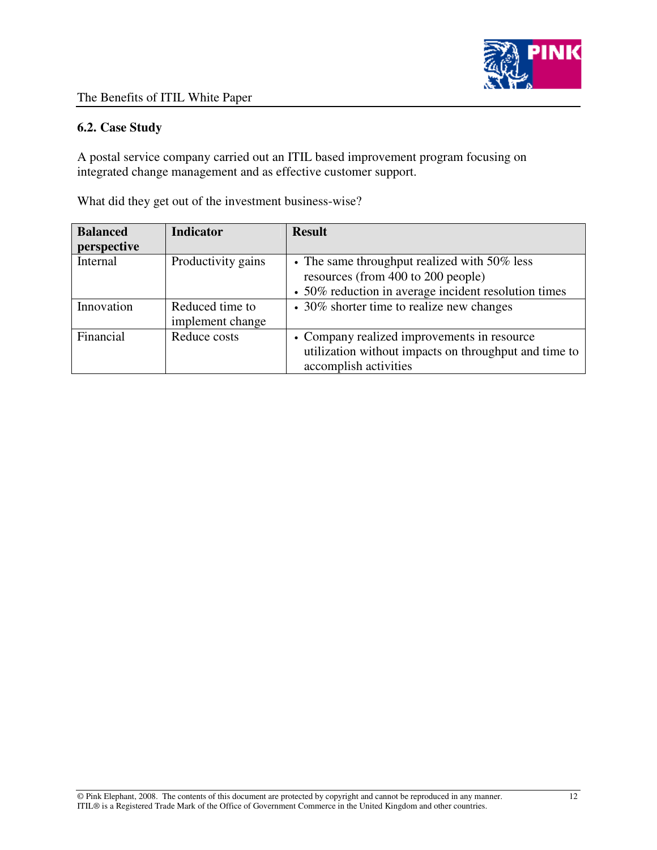

## **6.2. Case Study**

A postal service company carried out an ITIL based improvement program focusing on integrated change management and as effective customer support.

What did they get out of the investment business-wise?

| <b>Balanced</b><br>perspective | <b>Indicator</b>                    | <b>Result</b>                                                                                                                              |
|--------------------------------|-------------------------------------|--------------------------------------------------------------------------------------------------------------------------------------------|
| Internal                       | Productivity gains                  | • The same throughput realized with 50% less<br>resources (from 400 to 200 people)<br>• 50% reduction in average incident resolution times |
| Innovation                     | Reduced time to<br>implement change | • 30% shorter time to realize new changes                                                                                                  |
| Financial                      | Reduce costs                        | • Company realized improvements in resource<br>utilization without impacts on throughput and time to<br>accomplish activities              |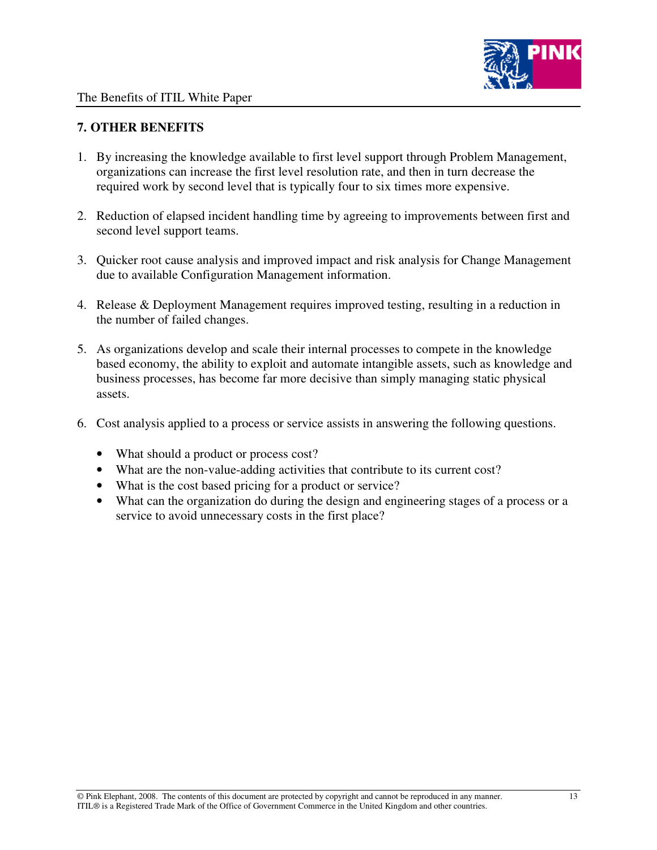

# **7. OTHER BENEFITS**

- 1. By increasing the knowledge available to first level support through Problem Management, organizations can increase the first level resolution rate, and then in turn decrease the required work by second level that is typically four to six times more expensive.
- 2. Reduction of elapsed incident handling time by agreeing to improvements between first and second level support teams.
- 3. Quicker root cause analysis and improved impact and risk analysis for Change Management due to available Configuration Management information.
- 4. Release & Deployment Management requires improved testing, resulting in a reduction in the number of failed changes.
- 5. As organizations develop and scale their internal processes to compete in the knowledge based economy, the ability to exploit and automate intangible assets, such as knowledge and business processes, has become far more decisive than simply managing static physical assets.
- 6. Cost analysis applied to a process or service assists in answering the following questions.
	- What should a product or process cost?
	- What are the non-value-adding activities that contribute to its current cost?
	- What is the cost based pricing for a product or service?
	- What can the organization do during the design and engineering stages of a process or a service to avoid unnecessary costs in the first place?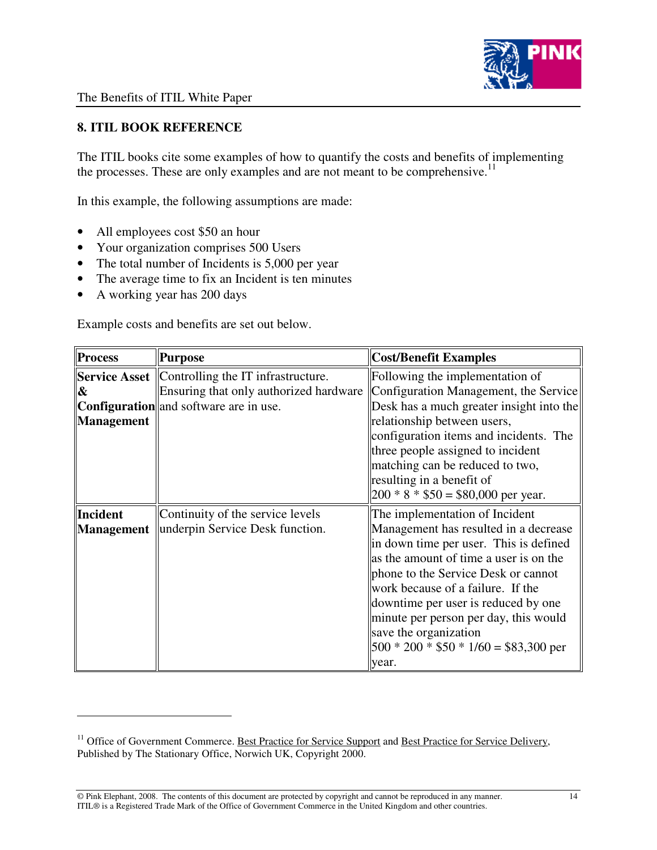

# **8. ITIL BOOK REFERENCE**

The ITIL books cite some examples of how to quantify the costs and benefits of implementing the processes. These are only examples and are not meant to be comprehensive.<sup>11</sup>

In this example, the following assumptions are made:

- All employees cost \$50 an hour
- Your organization comprises 500 Users
- The total number of Incidents is 5,000 per year
- The average time to fix an Incident is ten minutes
- A working year has 200 days

Example costs and benefits are set out below.

| <b>Process</b>    | <b>Purpose</b>                                            | <b>Cost/Benefit Examples</b>                       |
|-------------------|-----------------------------------------------------------|----------------------------------------------------|
|                   | <b>Service Asset</b>   Controlling the IT infrastructure. | Following the implementation of                    |
| &                 | Ensuring that only authorized hardware                    | Configuration Management, the Service              |
|                   | <b>Configuration</b> and software are in use.             | Desk has a much greater insight into the           |
| <b>Management</b> |                                                           | relationship between users,                        |
|                   |                                                           | configuration items and incidents. The             |
|                   |                                                           | three people assigned to incident                  |
|                   |                                                           | matching can be reduced to two,                    |
|                   |                                                           | resulting in a benefit of                          |
|                   |                                                           | $ 200 * 8 * $50 = $80,000$ per year.               |
| <b>Incident</b>   | Continuity of the service levels                          | The implementation of Incident                     |
| Management        | underpin Service Desk function.                           | Management has resulted in a decrease              |
|                   |                                                           | lin down time per user. This is defined            |
|                   |                                                           | as the amount of time a user is on the             |
|                   |                                                           | phone to the Service Desk or cannot                |
|                   |                                                           | work because of a failure. If the                  |
|                   |                                                           | downtime per user is reduced by one                |
|                   |                                                           | minute per person per day, this would              |
|                   |                                                           | save the organization                              |
|                   |                                                           | $\parallel$ 500 * 200 * \$50 * 1/60 = \$83,300 per |
|                   |                                                           | year.                                              |

<sup>&</sup>lt;sup>11</sup> Office of Government Commerce. <u>Best Practice for Service Support</u> and Best Practice for Service Delivery, Published by The Stationary Office, Norwich UK, Copyright 2000.

<sup>©</sup> Pink Elephant, 2008. The contents of this document are protected by copyright and cannot be reproduced in any manner. 14 ITIL® is a Registered Trade Mark of the Office of Government Commerce in the United Kingdom and other countries.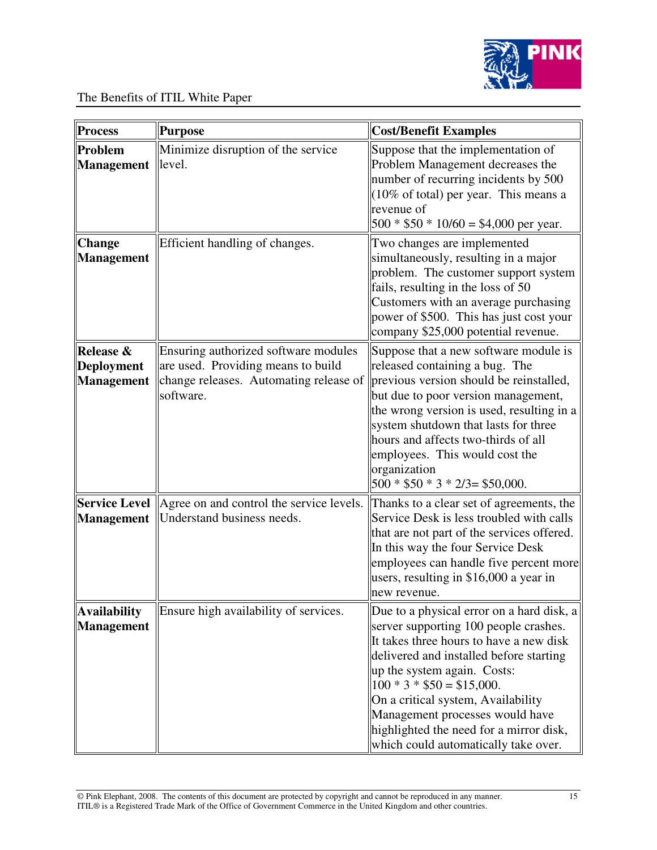

| <b>Process</b>                                      | <b>Purpose</b>                                                                                                                    | <b>Cost/Benefit Examples</b>                                                                                                                                                                                                                                                                                                                                                                      |
|-----------------------------------------------------|-----------------------------------------------------------------------------------------------------------------------------------|---------------------------------------------------------------------------------------------------------------------------------------------------------------------------------------------------------------------------------------------------------------------------------------------------------------------------------------------------------------------------------------------------|
| Problem<br><b>Management</b>                        | Minimize disruption of the service<br>level.                                                                                      | Suppose that the implementation of<br>Problem Management decreases the<br>number of recurring incidents by 500<br>(10% of total) per year. This means a<br>revenue of<br>$500 * $50 * 10/60 = $4,000$ per year.                                                                                                                                                                                   |
| <b>Change</b><br><b>Management</b>                  | Efficient handling of changes.                                                                                                    | Two changes are implemented<br>simultaneously, resulting in a major<br>problem. The customer support system<br>fails, resulting in the loss of 50<br>Customers with an average purchasing<br>power of \$500. This has just cost your<br>company \$25,000 potential revenue.                                                                                                                       |
| Release &<br><b>Deployment</b><br><b>Management</b> | Ensuring authorized software modules<br>are used. Providing means to build<br>change releases. Automating release of<br>software. | Suppose that a new software module is<br>released containing a bug. The<br>previous version should be reinstalled,<br>but due to poor version management,<br>the wrong version is used, resulting in a<br>system shutdown that lasts for three<br>hours and affects two-thirds of all<br>employees. This would cost the<br>organization<br>$500 * $50 * 3 * 2/3 = $50,000.$                       |
| <b>Service Level</b><br><b>Management</b>           | Agree on and control the service levels.<br>Understand business needs.                                                            | Thanks to a clear set of agreements, the<br>Service Desk is less troubled with calls<br>that are not part of the services offered.<br>In this way the four Service Desk<br>employees can handle five percent more<br>users, resulting in \$16,000 a year in<br>new revenue.                                                                                                                       |
| <b>Availability</b><br><b>Management</b>            | Ensure high availability of services.                                                                                             | Due to a physical error on a hard disk, a<br>server supporting 100 people crashes.<br>It takes three hours to have a new disk<br>delivered and installed before starting<br>up the system again. Costs:<br>$100 * 3 * $50 = $15,000.$<br>On a critical system, Availability<br>Management processes would have<br>highlighted the need for a mirror disk,<br>which could automatically take over. |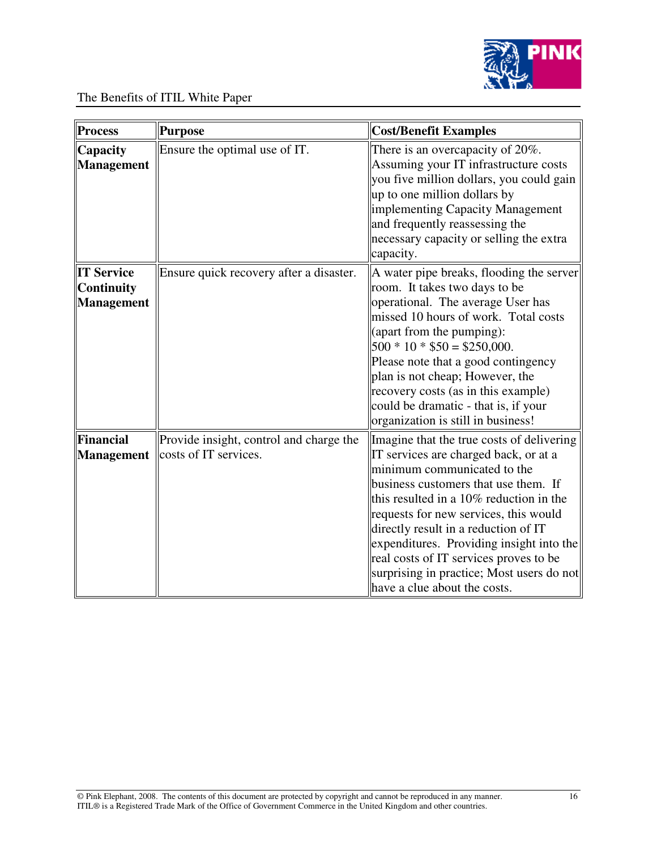

| <b>Process</b>                                              | <b>Purpose</b>                                                   | <b>Cost/Benefit Examples</b>                                                                                                                                                                                                                                                                                                                                                                                                                             |
|-------------------------------------------------------------|------------------------------------------------------------------|----------------------------------------------------------------------------------------------------------------------------------------------------------------------------------------------------------------------------------------------------------------------------------------------------------------------------------------------------------------------------------------------------------------------------------------------------------|
| Capacity<br><b>Management</b>                               | Ensure the optimal use of IT.                                    | There is an overcapacity of 20%.<br>Assuming your IT infrastructure costs<br>you five million dollars, you could gain<br>up to one million dollars by<br>implementing Capacity Management<br>and frequently reassessing the<br>necessary capacity or selling the extra<br>capacity.                                                                                                                                                                      |
| <b>IT Service</b><br><b>Continuity</b><br><b>Management</b> | Ensure quick recovery after a disaster.                          | A water pipe breaks, flooding the server<br>room. It takes two days to be<br>operational. The average User has<br>missed 10 hours of work. Total costs<br>(apart from the pumping):<br>$500 * 10 * $50 = $250,000.$<br>Please note that a good contingency<br>plan is not cheap; However, the<br>recovery costs (as in this example)<br>could be dramatic - that is, if your<br>organization is still in business!                                       |
| <b>Financial</b><br><b>Management</b>                       | Provide insight, control and charge the<br>costs of IT services. | Imagine that the true costs of delivering<br>IT services are charged back, or at a<br>minimum communicated to the<br>business customers that use them. If<br>this resulted in a 10% reduction in the<br>requests for new services, this would<br>directly result in a reduction of IT<br>expenditures. Providing insight into the<br>real costs of IT services proves to be<br>surprising in practice; Most users do not<br>have a clue about the costs. |